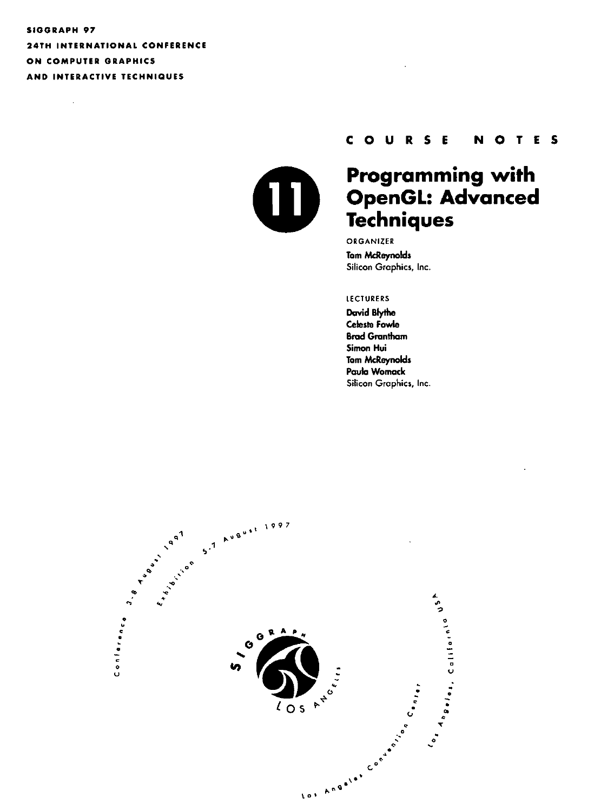## SIOORAPH 97 24TH INTERNATIONAL CONFERENCE ON COMPUTER GRAPHICS AND INTERACTIVE TECHNIQUES

 $\mathcal{L}_{\mathcal{A}}$ 



## COURSE **N 0 T E 5**

# **Programming with OpenGL: Advanced Techniques**

ORGANIZER Tom McReynolds Silicon Graphics, Inc.

#### LECTURERS

David Blythe Celeste Fowle **Brad Grantham Simon Hui**  Tom McReynolds Paula Womack Silicon Graphics, Inc.

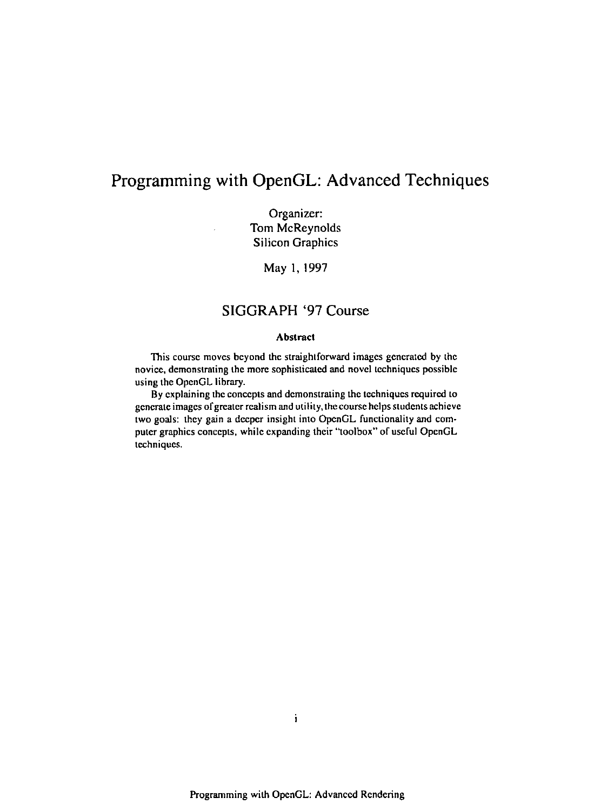# **Programming with OpenGL: Advanced Techniques**

Organizer: Tom McReynolds Silicon Graphics

May I, 1997

### **SIGGRAPH** '97 Course

#### Abstract

This course moves beyond the straightforward images generated by the novice, demonstrating the more sophisticated and novel techniques possible using the OpenGL library.

By explaining the concepts and demonstrating the techniques required to generate images of greater realism and utility, the course helps students achieve two goals: they gain a deeper insight into OpenGL functionality and computer graphics concepts, while expanding their "toolbox" of useful OpenGL **techniques.**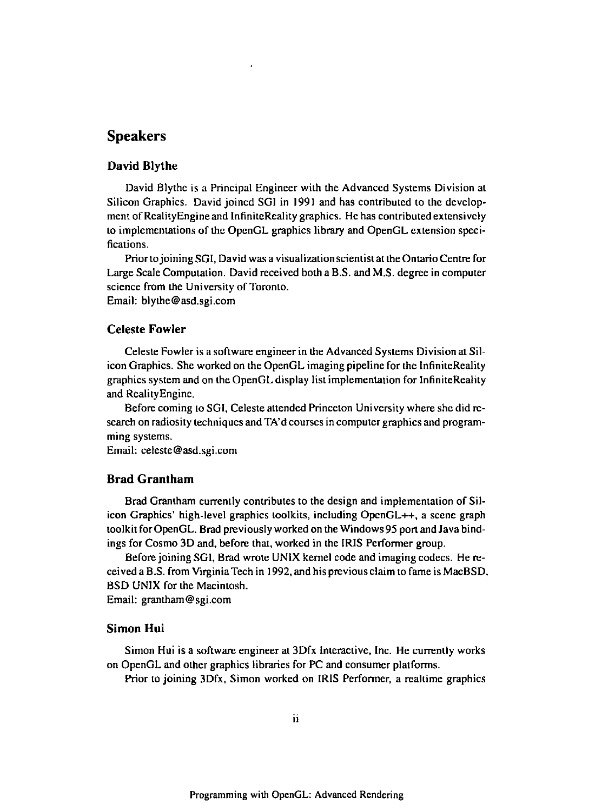## **Speakers**

#### **David Blythe**

David Blythe is a Principal Engineer with the Advanced Systems Division at Silicon Graphics. David joined SGI in 1991 and has contributed to the development of RealityEngine and InfiniteReality graphics. He has contributed extensively to implementations of the OpenGL graphics library and OpenGL extension specifications.

Priorto joining SGI, David was a visualization scientist at the Ontario Centre for Large Scale Computation. David received both a B.S. and M.S. degree in computer science from the University of Toronto. Email: blythe@asd.sgi.com

#### Celeste **Fowler**

Celeste Fowler is a software engineer in the Advanced Systems Division at Silicon Graphics. She worked on the OpenGL imaging pipeline for the InfiniteReality graphics system and on the OpenGL display list implementation for InfiniteReality and RealityEngine.

Before coming to SGI, Celeste attended Princeton University where she did research on radiosity techniques and TA'd courses in computer graphics and programming systems.

Email: celeste@asd.sgi.com

#### **Brad Grantham**

Brad Grantham currently contributes to the design and implementation of Silicon Graphics' high-level graphics toolkits, including OpenGL++, a scene graph toolkit forOpenGL. Brad previously worked on the Windows 95 port and Java bindings for Cosmo 3D and, before that, worked in the IRIS Performer group.

Before joining SGI, Brad wrote UNIX kernel code and imaging codecs. He received a B.S. from Virginia Tech in 1992, and his previous claim to fame is MacBSD, BSD UNIX for the Macintosh.

Email: grantham@sgi.com

#### **Simon Hui**

Simon Hui is a software engineer at 3Dfx Interactive, Inc. He currently works on OpenGL and other graphics libraries for PC and consumer platforms.

Prior to joining 3Dfx, Simon worked on IRIS Performer, a realtime graphics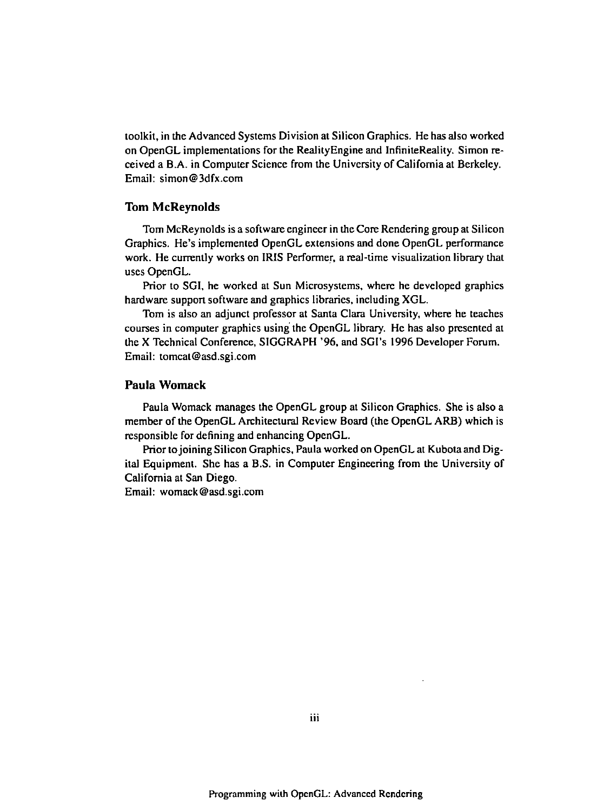toolkit, in the Advanced Systems Division at Silicon Graphics. He has also worked on OpenGL implementations for the Reality Engine and lnfiniteReality. Simon received a B.A. in Computer Science from the University of California at Berkeley. Email: simon@3dfx.com

#### **Tom McReynolds**

Tom McReynolds is a software engineer in the Core Rendering group at Silicon Graphics. He's implemented OpenGL extensions and done OpenGL performance work. He currently works on IRIS Performer, a real-time visualization library that uses OpenGL.

Prior to SGI, he worked at Sun Microsystems, where he developed graphics hardware support software and graphics libraries, including XGL.

Tom is also an adjunct professor at Santa Clara University, where he teaches courses in computer graphics using the OpenGL library. He has also presented at the X Technical Conference, SIGGRAPH '96, and SGI's 1996 Developer Forum. Email: tomcat@asd.sgi.com

#### **Paula Womack**

Paula Womack manages the OpenGL group at Silicon Graphics. She is also a member of the OpenGL Architectural Review Board (the OpenGL ARB) which is responsible for defining and enhancing OpenGL.

Prior to joining Silicon Graphics, Paula worked on OpenGL at Kubota and Digital Equipment. She has a B.S. in Computer Engineering from the University of California at San Diego.

Email: womack@asd.sgi.com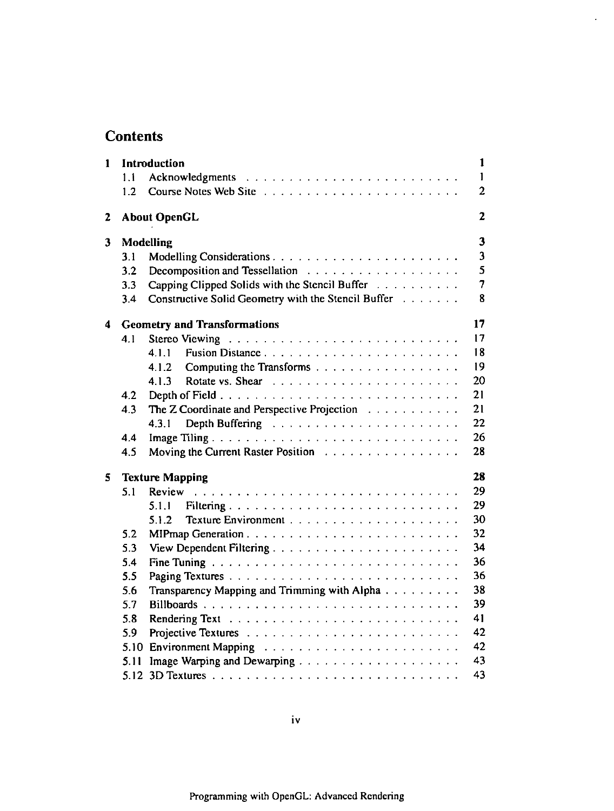# **Contents**

| 1 |      | Introduction                                        | $\mathbf{1}$            |
|---|------|-----------------------------------------------------|-------------------------|
|   | 1.1  |                                                     | $\mathbf{I}$            |
|   | 1.2  | Course Notes Web Site                               | $\overline{2}$          |
| 2 |      | <b>About OpenGL</b>                                 | $\mathbf{z}$            |
| 3 |      | Modelling                                           | $\overline{\mathbf{3}}$ |
|   | 3.1  |                                                     | $\overline{\mathbf{3}}$ |
|   | 3.2  |                                                     | 5                       |
|   | 3.3  | Capping Clipped Solids with the Stencil Buffer      | $\overline{7}$          |
|   | 3.4  | Constructive Solid Geometry with the Stencil Buffer | 8                       |
| 4 |      | <b>Geometry and Transformations</b>                 | 17                      |
|   | 4.1  |                                                     | 17                      |
|   |      | Fusion Distance<br>4.1.1                            | 18                      |
|   |      | Computing the Transforms<br>4.1.2                   | 19                      |
|   |      | 4.1.3                                               | 20                      |
|   | 4.2  |                                                     | 21                      |
|   | 4.3  | The Z Coordinate and Perspective Projection         | 21                      |
|   |      | 4.3.1                                               | 22                      |
|   | 4.4  | Image Tiling                                        | 26                      |
|   | 4.5  | Moving the Current Raster Position                  | 28                      |
| 5 |      | <b>Texture Mapping</b>                              | 28                      |
|   | 5.1  | Review                                              | 29                      |
|   |      | 5.1.1                                               | 29                      |
|   |      | 5.1.2                                               | 30                      |
|   | 5.2  |                                                     | 32                      |
|   | 5.3  | View Dependent Filtering                            | 34                      |
|   | 5.4  |                                                     | 36                      |
|   | 5.5  |                                                     | 36                      |
|   | 5.6  | Transparency Mapping and Trimming with Alpha        | 38                      |
|   | 5.7  | Billboards                                          | 39                      |
|   | 5.8  |                                                     | 41                      |
|   | 5.9  |                                                     | 42                      |
|   | 5.10 |                                                     | 42                      |
|   | 5.11 |                                                     | 43                      |
|   |      |                                                     | 43                      |
|   |      |                                                     |                         |

 $\mathcal{L}^{\pm}$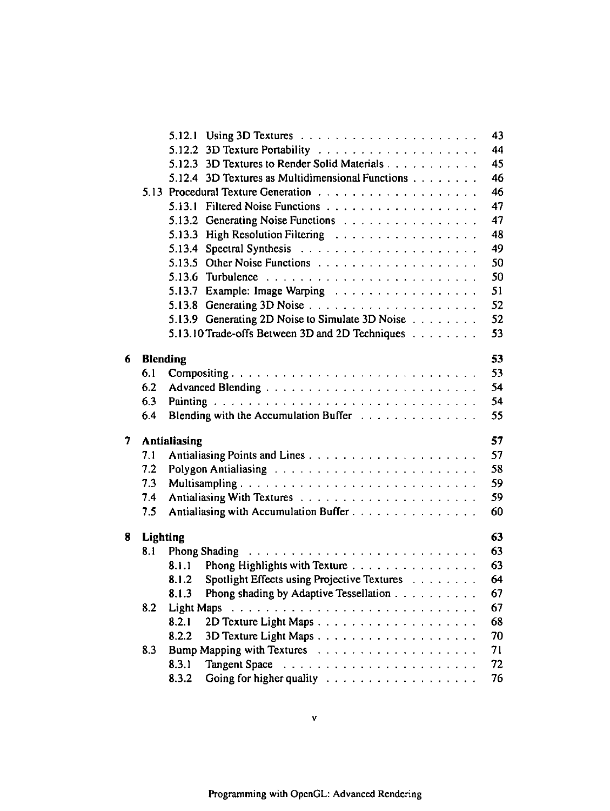|    |                 | 5.12.1                                                                                                                                                                                                                                                                                                                                                                                                                                                                                                                  | 43 |
|----|-----------------|-------------------------------------------------------------------------------------------------------------------------------------------------------------------------------------------------------------------------------------------------------------------------------------------------------------------------------------------------------------------------------------------------------------------------------------------------------------------------------------------------------------------------|----|
|    |                 |                                                                                                                                                                                                                                                                                                                                                                                                                                                                                                                         | 44 |
|    |                 | 5.12.3 3D Textures to Render Solid Materials                                                                                                                                                                                                                                                                                                                                                                                                                                                                            | 45 |
|    |                 | 5.12.4 3D Textures as Multidimensional Functions                                                                                                                                                                                                                                                                                                                                                                                                                                                                        | 46 |
|    |                 |                                                                                                                                                                                                                                                                                                                                                                                                                                                                                                                         | 46 |
|    |                 |                                                                                                                                                                                                                                                                                                                                                                                                                                                                                                                         | 47 |
|    |                 | Generating Noise Functions<br>5.13.2                                                                                                                                                                                                                                                                                                                                                                                                                                                                                    | 47 |
|    |                 | High Resolution Filtering<br>5.13.3                                                                                                                                                                                                                                                                                                                                                                                                                                                                                     | 48 |
|    |                 | 5.13.4                                                                                                                                                                                                                                                                                                                                                                                                                                                                                                                  | 49 |
|    |                 |                                                                                                                                                                                                                                                                                                                                                                                                                                                                                                                         | 50 |
|    |                 |                                                                                                                                                                                                                                                                                                                                                                                                                                                                                                                         | 50 |
|    |                 | 5.13.7 Example: Image Warping                                                                                                                                                                                                                                                                                                                                                                                                                                                                                           | 51 |
|    |                 |                                                                                                                                                                                                                                                                                                                                                                                                                                                                                                                         | 52 |
|    |                 | 5.13.9 Generating 2D Noise to Simulate 3D Noise                                                                                                                                                                                                                                                                                                                                                                                                                                                                         | 52 |
|    |                 | 5.13.10 Trade-offs Between 3D and 2D Techniques                                                                                                                                                                                                                                                                                                                                                                                                                                                                         | 53 |
|    |                 |                                                                                                                                                                                                                                                                                                                                                                                                                                                                                                                         |    |
| 6  | <b>Blending</b> |                                                                                                                                                                                                                                                                                                                                                                                                                                                                                                                         | 53 |
|    | 6.1             | Compositing                                                                                                                                                                                                                                                                                                                                                                                                                                                                                                             | 53 |
|    | 6.2             |                                                                                                                                                                                                                                                                                                                                                                                                                                                                                                                         | 54 |
|    | 6.3             |                                                                                                                                                                                                                                                                                                                                                                                                                                                                                                                         | 54 |
|    | 6.4             | Blending with the Accumulation Buffer                                                                                                                                                                                                                                                                                                                                                                                                                                                                                   | 55 |
| 7. |                 | <b>Antialiasing</b>                                                                                                                                                                                                                                                                                                                                                                                                                                                                                                     | 57 |
|    | 7.1             | 57                                                                                                                                                                                                                                                                                                                                                                                                                                                                                                                      |    |
|    | 7.2             | 58<br>Polygon Antialiasing Table 2014 Contains the Contact Contains and Polygon Antialiasing                                                                                                                                                                                                                                                                                                                                                                                                                            |    |
|    | 7.3             | Multisampling                                                                                                                                                                                                                                                                                                                                                                                                                                                                                                           | 59 |
|    | 7.4             |                                                                                                                                                                                                                                                                                                                                                                                                                                                                                                                         | 59 |
|    | 7.5             | Antialiasing with Accumulation Buffer<br>60                                                                                                                                                                                                                                                                                                                                                                                                                                                                             |    |
|    |                 |                                                                                                                                                                                                                                                                                                                                                                                                                                                                                                                         |    |
| 8  | <b>Lighting</b> | 63                                                                                                                                                                                                                                                                                                                                                                                                                                                                                                                      |    |
|    | 8.1             | 63<br>Phong Shading Theory of the Contract of the Shading Theory of the Contract of the Shading Shading Shading Shading                                                                                                                                                                                                                                                                                                                                                                                                 |    |
|    |                 | Phong Highlights with Texture<br>63<br>8.1.1                                                                                                                                                                                                                                                                                                                                                                                                                                                                            |    |
|    |                 | 64<br>Spotlight Effects using Projective Textures<br>8.1.2                                                                                                                                                                                                                                                                                                                                                                                                                                                              |    |
|    |                 | Phong shading by Adaptive Tessellation<br>8.1.3<br>67                                                                                                                                                                                                                                                                                                                                                                                                                                                                   |    |
|    | 8.2             | <b>Light Maps</b><br>67<br>$\mathcal{L}_{\mathcal{A}}(\mathcal{A}) = \mathcal{L}_{\mathcal{A}}(\mathcal{A}) = \mathcal{L}_{\mathcal{A}}(\mathcal{A}) = \mathcal{L}_{\mathcal{A}}(\mathcal{A}) = \mathcal{L}_{\mathcal{A}}(\mathcal{A}) = \mathcal{L}_{\mathcal{A}}(\mathcal{A}) = \mathcal{L}_{\mathcal{A}}(\mathcal{A}) = \mathcal{L}_{\mathcal{A}}(\mathcal{A}) = \mathcal{L}_{\mathcal{A}}(\mathcal{A}) = \mathcal{L}_{\mathcal{A}}(\mathcal{A}) = \mathcal{L}_{\mathcal{A}}(\mathcal{A}) = \mathcal{L}_{\mathcal{A$ |    |
|    |                 | 8.2.1<br>68                                                                                                                                                                                                                                                                                                                                                                                                                                                                                                             |    |
|    |                 | 8.2.2<br>70                                                                                                                                                                                                                                                                                                                                                                                                                                                                                                             |    |
|    | 8.3             | 71                                                                                                                                                                                                                                                                                                                                                                                                                                                                                                                      |    |
|    |                 | 8.3.1<br><b>Tangent Space</b><br>72                                                                                                                                                                                                                                                                                                                                                                                                                                                                                     |    |
|    |                 | 8.3.2                                                                                                                                                                                                                                                                                                                                                                                                                                                                                                                   | 76 |
|    |                 |                                                                                                                                                                                                                                                                                                                                                                                                                                                                                                                         |    |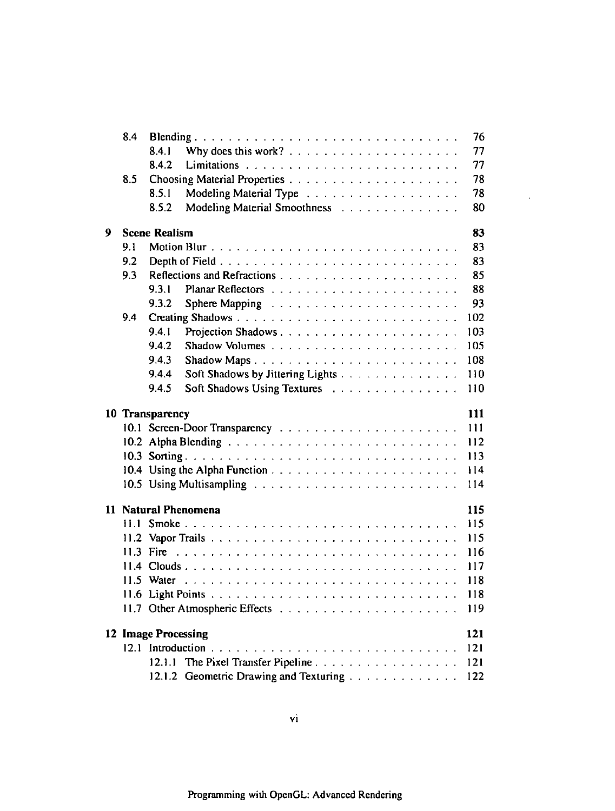|   | 8.4  |                      |                                        | 76  |
|---|------|----------------------|----------------------------------------|-----|
|   |      | 8.4.1                |                                        | 77  |
|   |      | 8.4.2                |                                        | 77  |
|   | 8.5  |                      |                                        | 78  |
|   |      | 8.5.1                |                                        | 78  |
|   |      | 8.5.2                | Modeling Material Smoothness           | 80  |
| 9 |      | <b>Scene Realism</b> |                                        | 83  |
|   | 9.1  |                      |                                        | 83  |
|   | 9.2  |                      |                                        | 83  |
|   | 9.3  |                      |                                        | 85  |
|   |      | 9.3.1                |                                        | 88  |
|   |      | 9.3.2                |                                        | 93  |
|   | 9.4  |                      |                                        | 102 |
|   |      | 9.4.1                |                                        | 103 |
|   |      | 9.4.2                |                                        | 105 |
|   |      | 9.4.3                |                                        | 108 |
|   |      | 9.4.4                | Soft Shadows by Jittering Lights       | 110 |
|   |      | 9.45                 | Soft Shadows Using Textures            | 110 |
|   |      |                      |                                        |     |
|   |      | 10 Transparency      |                                        | 111 |
|   |      |                      |                                        | 111 |
|   |      |                      |                                        | 112 |
|   |      |                      |                                        | 113 |
|   |      |                      |                                        | 114 |
|   |      |                      |                                        | 114 |
|   |      |                      | 11 Natural Phenomena                   | 115 |
|   | 11 1 |                      |                                        | 115 |
|   |      |                      |                                        | 115 |
|   |      | 11.3 Fire            |                                        | 116 |
|   |      |                      |                                        | 117 |
|   |      |                      |                                        | 118 |
|   |      |                      |                                        | 118 |
|   |      |                      |                                        | 119 |
|   |      | 12 Image Processing  |                                        | 121 |
|   |      |                      |                                        | 121 |
|   |      |                      | 12.1.1 The Pixel Transfer Pipeline     | 121 |
|   |      |                      | 12.1.2 Geometric Drawing and Texturing | 122 |
|   |      |                      |                                        |     |

 $\sim 10^{-10}$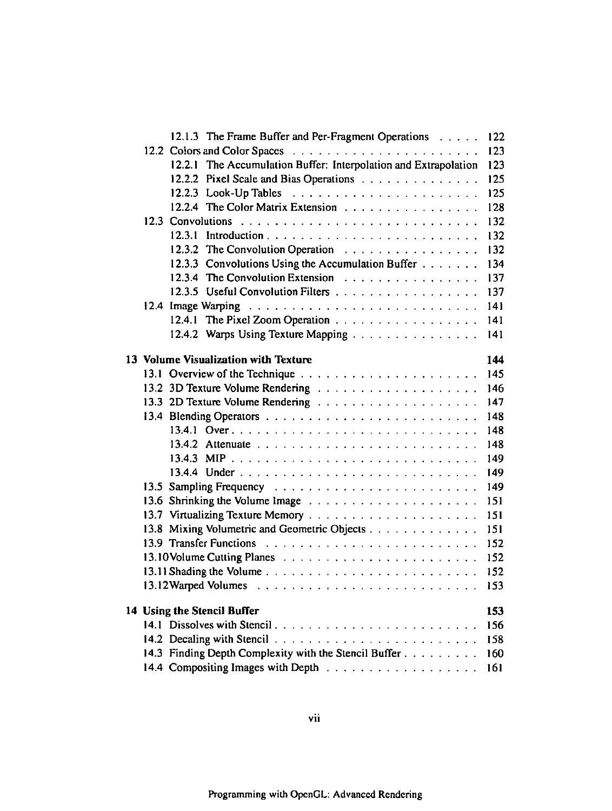| 12.1.3 The Frame Buffer and Per-Fragment Operations                | 122 |
|--------------------------------------------------------------------|-----|
|                                                                    | 123 |
| The Accumulation Buffer: Interpolation and Extrapolation<br>12.2.1 | 123 |
| 12.2.2 Pixel Scale and Bias Operations                             | 125 |
|                                                                    | 125 |
| 12.2.4 The Color Matrix Extension                                  | 128 |
|                                                                    | 132 |
|                                                                    | 132 |
| 12.3.2 The Convolution Operation Fig.                              | 132 |
| 12.3.3 Convolutions Using the Accumulation Buffer                  | 134 |
| 12.3.4 The Convolution Extension                                   | 137 |
| 12.3.5 Useful Convolution Filters                                  | 137 |
|                                                                    | 141 |
| 12.4.1 The Pixel Zoom Operation                                    | 141 |
| 12.4.2 Warps Using Texture Mapping                                 | 141 |
|                                                                    |     |
| 13 Volume Visualization with Texture                               | 144 |
|                                                                    | 145 |
|                                                                    | 146 |
|                                                                    | 147 |
|                                                                    | 148 |
|                                                                    | 148 |
|                                                                    | 148 |
|                                                                    | 149 |
|                                                                    | 149 |
|                                                                    | 149 |
|                                                                    | 151 |
|                                                                    | 151 |
| 13.8 Mixing Volumetric and Geometric Objects                       | 151 |
|                                                                    | 152 |
|                                                                    | 152 |
|                                                                    | 152 |
|                                                                    | 153 |
|                                                                    |     |
| 14 Using the Stencil Buffer<br>14.1 Dissolves with Stencil         | 153 |
|                                                                    | 156 |
| 14.3 Finding Depth Complexity with the Stencil Buffer              | 158 |
|                                                                    | 160 |
|                                                                    | 161 |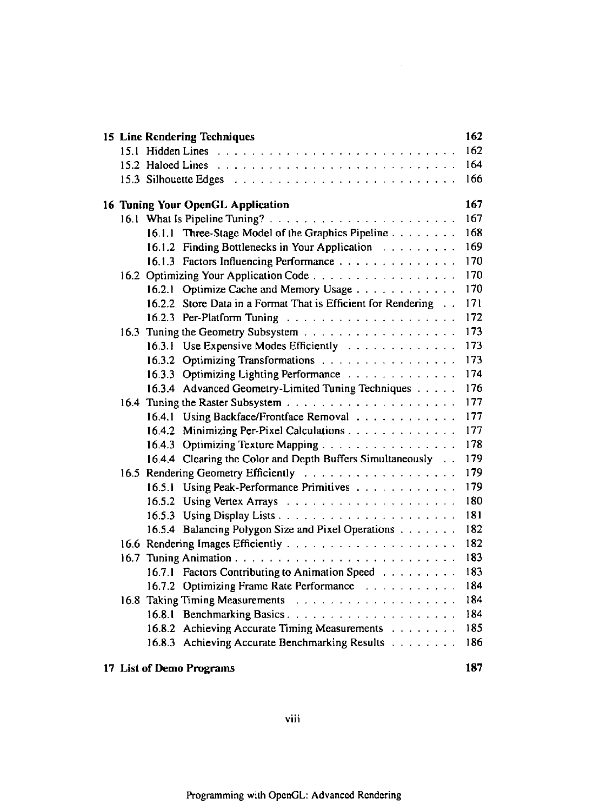|      | 15 Line Rendering Techniques                                      | 162 |
|------|-------------------------------------------------------------------|-----|
|      |                                                                   | 162 |
|      |                                                                   | 164 |
|      |                                                                   | 166 |
|      | 16 Tuning Your OpenGL Application                                 | 167 |
|      |                                                                   | 167 |
|      | 16.1.1 Three-Stage Model of the Graphics Pipeline                 | 168 |
|      | 16.1.2 Finding Bottlenecks in Your Application Fig. 2014. The St. | 169 |
|      | 16.1.3 Factors Influencing Performance                            | 170 |
|      | 16.2 Optimizing Your Application Code                             | 170 |
|      | 16.2.1 Optimize Cache and Memory Usage                            | 170 |
|      | 16.2.2 Store Data in a Format That is Efficient for Rendering     | 171 |
|      |                                                                   | 172 |
|      |                                                                   | 173 |
|      | 16.3.1 Use Expensive Modes Efficiently                            | 173 |
|      | 16.3.2 Optimizing Transformations                                 | 173 |
|      | 16.3.3 Optimizing Lighting Performance                            | 174 |
|      | 16.3.4 Advanced Geometry-Limited Tuning Techniques                | 176 |
|      |                                                                   | 177 |
|      | 16.4.1 Using Backface/Frontface Removal                           | 177 |
|      | 16.4.2 Minimizing Per-Pixel Calculations                          | 177 |
|      | 16.4.3 Optimizing Texture Mapping                                 | 178 |
|      | 16.4.4 Clearing the Color and Depth Buffers Simultaneously        | 179 |
|      |                                                                   | 179 |
|      | 16.5.1 Using Peak-Performance Primitives                          | 179 |
|      |                                                                   | 180 |
|      |                                                                   | 181 |
|      | 16.5.4 Balancing Polygon Size and Pixel Operations                | 182 |
|      |                                                                   | 182 |
| 16.7 |                                                                   | 183 |
|      | 16.7.1 Factors Contributing to Animation Speed                    | 183 |
|      | 16.7.2 Optimizing Frame Rate Performance                          | 184 |
|      |                                                                   | 184 |
|      | 16.8.1 Benchmarking Basics                                        | 184 |
|      | 16.8.2 Achieving Accurate Timing Measurements                     | 185 |
|      | 16.8.3 Achieving Accurate Benchmarking Results                    | 186 |
|      |                                                                   |     |

# 17 List of Demo Programs 187

**viii**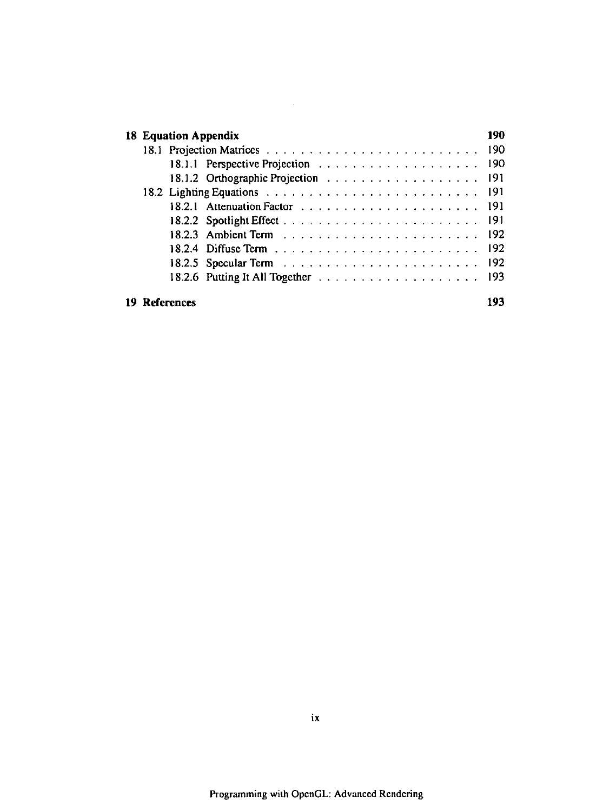|  | <b>18 Equation Appendix</b> | 190 |
|--|-----------------------------|-----|
|  |                             |     |
|  |                             |     |
|  |                             |     |
|  |                             |     |
|  |                             |     |
|  |                             |     |
|  |                             |     |
|  |                             |     |
|  |                             |     |
|  |                             |     |
|  | 19 References               |     |

 $\mathcal{L}^{\mathcal{L}}(\mathcal{L}^{\mathcal{L}})$  and  $\mathcal{L}^{\mathcal{L}}(\mathcal{L}^{\mathcal{L}})$  and  $\mathcal{L}^{\mathcal{L}}(\mathcal{L}^{\mathcal{L}})$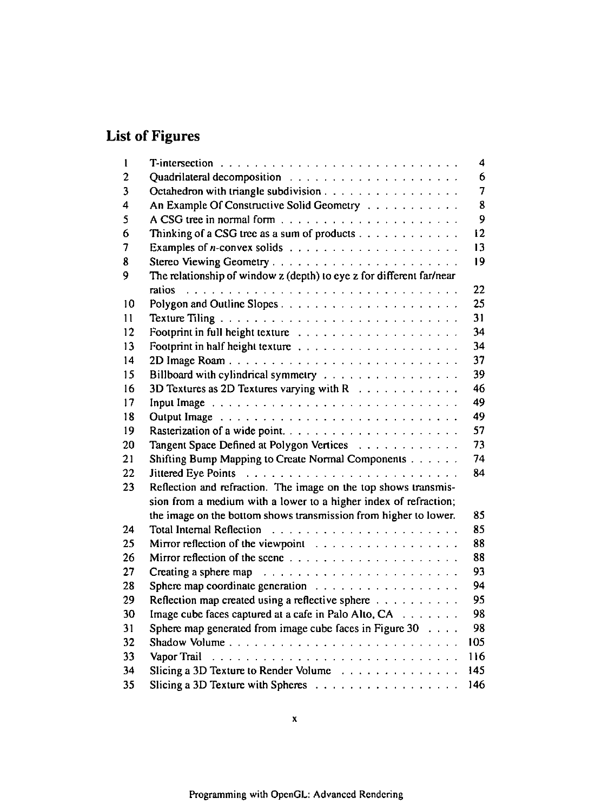# **List of Figures**

| 1                       |                                                                                                                                                                                                                                | 4              |
|-------------------------|--------------------------------------------------------------------------------------------------------------------------------------------------------------------------------------------------------------------------------|----------------|
| $\overline{2}$          |                                                                                                                                                                                                                                | 6              |
| $\overline{\mathbf{3}}$ | Octahedron with triangle subdivision                                                                                                                                                                                           | $\overline{7}$ |
| 4                       | An Example Of Constructive Solid Geometry                                                                                                                                                                                      | 8              |
| 5                       |                                                                                                                                                                                                                                | 9              |
| 6                       | Thinking of a CSG tree as a sum of products $\dots \dots \dots \dots$                                                                                                                                                          | 12             |
| 7                       |                                                                                                                                                                                                                                | 13             |
| 8                       | Stereo Viewing Geometry                                                                                                                                                                                                        | 19             |
| 9                       | The relationship of window z (depth) to eye z for different far/near                                                                                                                                                           |                |
|                         |                                                                                                                                                                                                                                | 22             |
| 10                      |                                                                                                                                                                                                                                | 25             |
| 11                      |                                                                                                                                                                                                                                | 31             |
| 12                      |                                                                                                                                                                                                                                | 34             |
| 13                      |                                                                                                                                                                                                                                | 34             |
| 14                      |                                                                                                                                                                                                                                | 37             |
| 15                      | Billboard with cylindrical symmetry                                                                                                                                                                                            | 39             |
| 16                      | 3D Textures as 2D Textures varying with $R_1, \ldots, R_k, \ldots, R_k$                                                                                                                                                        | 46             |
| 17                      | Input Image Table 2014 and Contact Contact Contact Contact Contact Contact Contact Contact Contact Contact Contact Contact Contact Contact Contact Contact Contact Contact Contact Contact Contact Contact Contact Contact Con | 49             |
| 18                      | Output Image entertainment and the contract of the contract of the Contract of the Contract of the Contract of                                                                                                                 | 49             |
| 19                      |                                                                                                                                                                                                                                | 57             |
| 20                      | Tangent Space Defined at Polygon Vertices                                                                                                                                                                                      | 73             |
| 21                      | Shifting Bump Mapping to Create Normal Components                                                                                                                                                                              | 74             |
| 22                      |                                                                                                                                                                                                                                | 84             |
| 23                      | Reflection and refraction. The image on the top shows transmis-                                                                                                                                                                |                |
|                         | sion from a medium with a lower to a higher index of refraction;                                                                                                                                                               |                |
|                         | the image on the bottom shows transmission from higher to lower.                                                                                                                                                               | 85             |
| 24                      |                                                                                                                                                                                                                                | 85             |
| 25                      | Mirror reflection of the viewpoint contained and contained a set of the view of the view of the view of the view of the view of the view of the view of the view of the view of the view of the view of the view of the view o | 88             |
| 26                      |                                                                                                                                                                                                                                | 88             |
| 27                      | Creating a sphere map response to the contract of the contract of the contract of the contract of the contract of the contract of the contract of the contract of the contract of the contract of the contract of the contract | 93             |
| 28                      | Sphere map coordinate generation                                                                                                                                                                                               | 94             |
| 29                      | Reflection map created using a reflective sphere                                                                                                                                                                               | 95             |
| 30                      | Image cube faces captured at a cafe in Palo Alto, CA                                                                                                                                                                           | 98             |
| 31                      | Sphere map generated from image cube faces in Figure 30                                                                                                                                                                        | 98             |
| 32                      | Shadow Volume                                                                                                                                                                                                                  | 105            |
| 33                      |                                                                                                                                                                                                                                | 116            |
| 34                      | Slicing a 3D Texture to Render Volume                                                                                                                                                                                          | 145            |
| 35                      |                                                                                                                                                                                                                                | 146            |
|                         |                                                                                                                                                                                                                                |                |